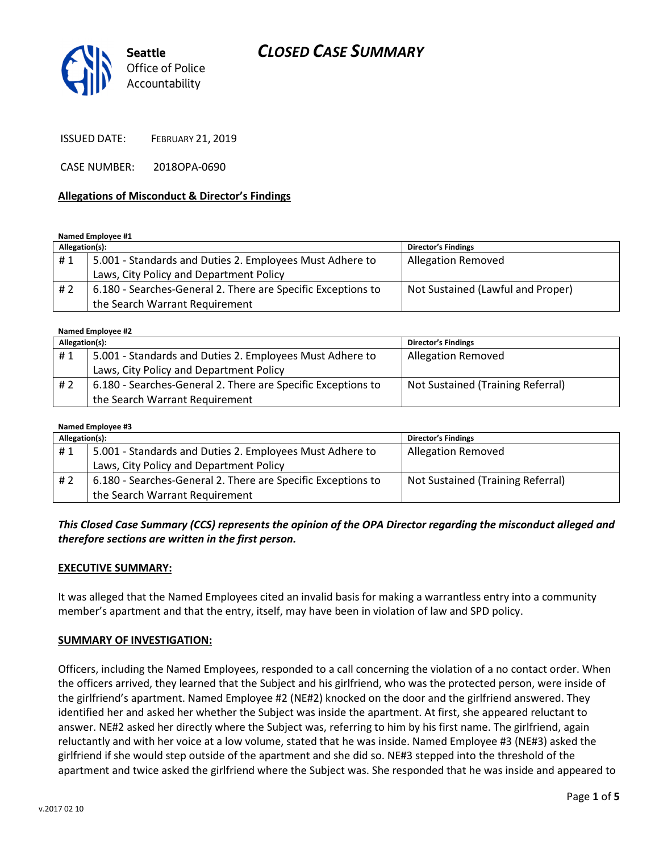## CLOSED CASE SUMMARY



ISSUED DATE: FEBRUARY 21, 2019

CASE NUMBER: 2018OPA-0690

#### Allegations of Misconduct & Director's Findings

Named Employee #1

| Allegation(s): |                                                              | <b>Director's Findings</b>        |
|----------------|--------------------------------------------------------------|-----------------------------------|
| #1             | 5.001 - Standards and Duties 2. Employees Must Adhere to     | <b>Allegation Removed</b>         |
|                | Laws, City Policy and Department Policy                      |                                   |
| # 2            | 6.180 - Searches-General 2. There are Specific Exceptions to | Not Sustained (Lawful and Proper) |
|                | the Search Warrant Requirement                               |                                   |

Named Employee #2

| Allegation(s): |                                                              | <b>Director's Findings</b>        |  |
|----------------|--------------------------------------------------------------|-----------------------------------|--|
| #1             | 5.001 - Standards and Duties 2. Employees Must Adhere to     | <b>Allegation Removed</b>         |  |
|                | Laws, City Policy and Department Policy                      |                                   |  |
| #2             | 6.180 - Searches-General 2. There are Specific Exceptions to | Not Sustained (Training Referral) |  |
|                | the Search Warrant Requirement                               |                                   |  |

| Named Employee #3 |                                                              |                                   |  |
|-------------------|--------------------------------------------------------------|-----------------------------------|--|
| Allegation(s):    |                                                              | <b>Director's Findings</b>        |  |
| #1                | 5.001 - Standards and Duties 2. Employees Must Adhere to     | <b>Allegation Removed</b>         |  |
|                   | Laws, City Policy and Department Policy                      |                                   |  |
| #2                | 6.180 - Searches-General 2. There are Specific Exceptions to | Not Sustained (Training Referral) |  |
|                   | the Search Warrant Requirement                               |                                   |  |

#### This Closed Case Summary (CCS) represents the opinion of the OPA Director regarding the misconduct alleged and therefore sections are written in the first person.

#### EXECUTIVE SUMMARY:

It was alleged that the Named Employees cited an invalid basis for making a warrantless entry into a community member's apartment and that the entry, itself, may have been in violation of law and SPD policy.

#### SUMMARY OF INVESTIGATION:

Officers, including the Named Employees, responded to a call concerning the violation of a no contact order. When the officers arrived, they learned that the Subject and his girlfriend, who was the protected person, were inside of the girlfriend's apartment. Named Employee #2 (NE#2) knocked on the door and the girlfriend answered. They identified her and asked her whether the Subject was inside the apartment. At first, she appeared reluctant to answer. NE#2 asked her directly where the Subject was, referring to him by his first name. The girlfriend, again reluctantly and with her voice at a low volume, stated that he was inside. Named Employee #3 (NE#3) asked the girlfriend if she would step outside of the apartment and she did so. NE#3 stepped into the threshold of the apartment and twice asked the girlfriend where the Subject was. She responded that he was inside and appeared to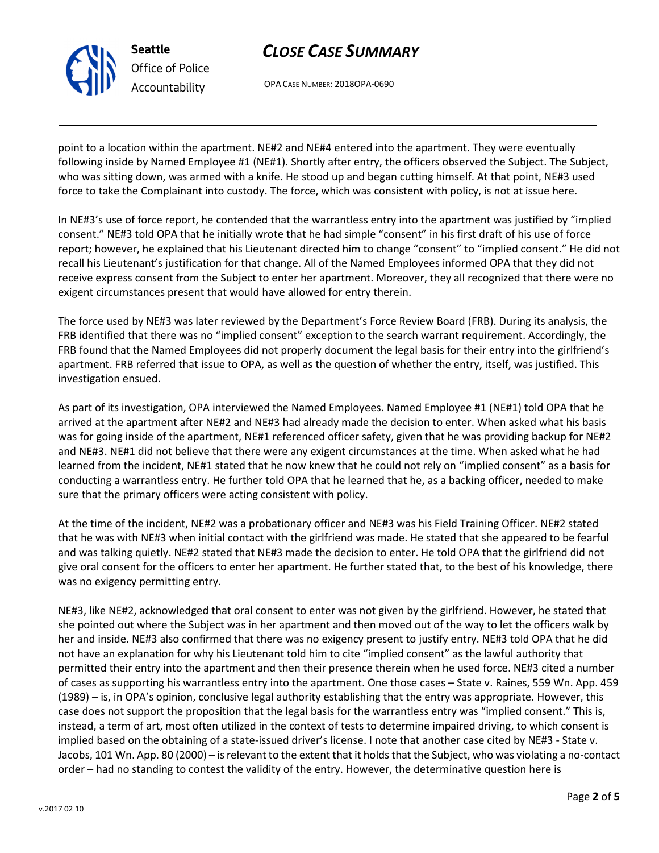v.2017 02 10

# CLOSE CASE SUMMARY

OPA CASE NUMBER: 2018OPA-0690

Seattle

Office of Police Accountability

point to a location within the apartment. NE#2 and NE#4 entered into the apartment. They were eventually following inside by Named Employee #1 (NE#1). Shortly after entry, the officers observed the Subject. The Subject, who was sitting down, was armed with a knife. He stood up and began cutting himself. At that point, NE#3 used force to take the Complainant into custody. The force, which was consistent with policy, is not at issue here.

In NE#3's use of force report, he contended that the warrantless entry into the apartment was justified by "implied consent." NE#3 told OPA that he initially wrote that he had simple "consent" in his first draft of his use of force report; however, he explained that his Lieutenant directed him to change "consent" to "implied consent." He did not recall his Lieutenant's justification for that change. All of the Named Employees informed OPA that they did not receive express consent from the Subject to enter her apartment. Moreover, they all recognized that there were no exigent circumstances present that would have allowed for entry therein.

The force used by NE#3 was later reviewed by the Department's Force Review Board (FRB). During its analysis, the FRB identified that there was no "implied consent" exception to the search warrant requirement. Accordingly, the FRB found that the Named Employees did not properly document the legal basis for their entry into the girlfriend's apartment. FRB referred that issue to OPA, as well as the question of whether the entry, itself, was justified. This investigation ensued.

As part of its investigation, OPA interviewed the Named Employees. Named Employee #1 (NE#1) told OPA that he arrived at the apartment after NE#2 and NE#3 had already made the decision to enter. When asked what his basis was for going inside of the apartment, NE#1 referenced officer safety, given that he was providing backup for NE#2 and NE#3. NE#1 did not believe that there were any exigent circumstances at the time. When asked what he had learned from the incident, NE#1 stated that he now knew that he could not rely on "implied consent" as a basis for conducting a warrantless entry. He further told OPA that he learned that he, as a backing officer, needed to make sure that the primary officers were acting consistent with policy.

At the time of the incident, NE#2 was a probationary officer and NE#3 was his Field Training Officer. NE#2 stated that he was with NE#3 when initial contact with the girlfriend was made. He stated that she appeared to be fearful and was talking quietly. NE#2 stated that NE#3 made the decision to enter. He told OPA that the girlfriend did not give oral consent for the officers to enter her apartment. He further stated that, to the best of his knowledge, there was no exigency permitting entry.

NE#3, like NE#2, acknowledged that oral consent to enter was not given by the girlfriend. However, he stated that she pointed out where the Subject was in her apartment and then moved out of the way to let the officers walk by her and inside. NE#3 also confirmed that there was no exigency present to justify entry. NE#3 told OPA that he did not have an explanation for why his Lieutenant told him to cite "implied consent" as the lawful authority that permitted their entry into the apartment and then their presence therein when he used force. NE#3 cited a number of cases as supporting his warrantless entry into the apartment. One those cases – State v. Raines, 559 Wn. App. 459 (1989) – is, in OPA's opinion, conclusive legal authority establishing that the entry was appropriate. However, this case does not support the proposition that the legal basis for the warrantless entry was "implied consent." This is, instead, a term of art, most often utilized in the context of tests to determine impaired driving, to which consent is implied based on the obtaining of a state-issued driver's license. I note that another case cited by NE#3 - State v. Jacobs, 101 Wn. App. 80 (2000) – is relevant to the extent that it holds that the Subject, who was violating a no-contact order – had no standing to contest the validity of the entry. However, the determinative question here is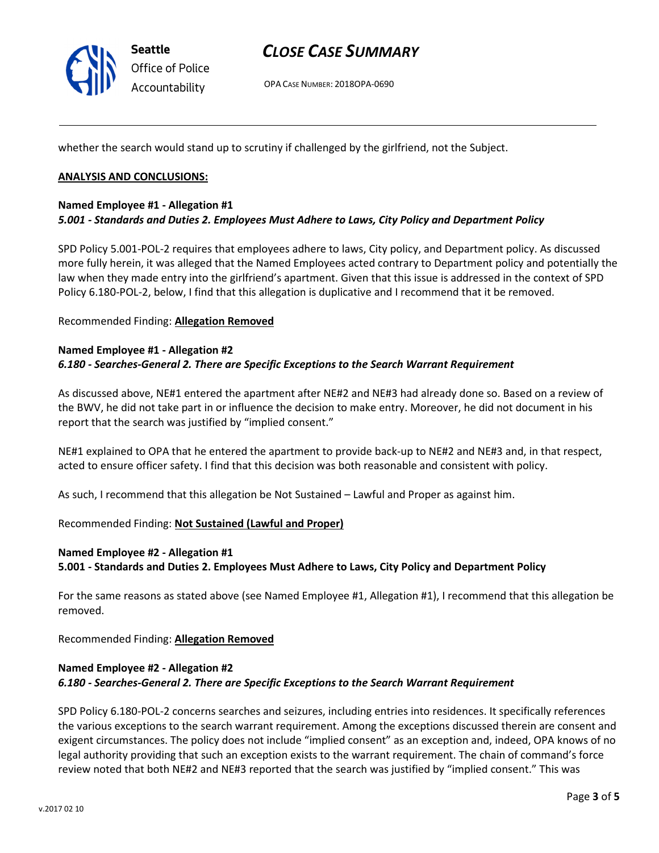

### CLOSE CASE SUMMARY

OPA CASE NUMBER: 2018OPA-0690

whether the search would stand up to scrutiny if challenged by the girlfriend, not the Subject.

#### ANALYSIS AND CONCLUSIONS:

#### Named Employee #1 - Allegation #1 5.001 - Standards and Duties 2. Employees Must Adhere to Laws, City Policy and Department Policy

SPD Policy 5.001-POL-2 requires that employees adhere to laws, City policy, and Department policy. As discussed more fully herein, it was alleged that the Named Employees acted contrary to Department policy and potentially the law when they made entry into the girlfriend's apartment. Given that this issue is addressed in the context of SPD Policy 6.180-POL-2, below, I find that this allegation is duplicative and I recommend that it be removed.

Recommended Finding: Allegation Removed

#### Named Employee #1 - Allegation #2 6.180 - Searches-General 2. There are Specific Exceptions to the Search Warrant Requirement

As discussed above, NE#1 entered the apartment after NE#2 and NE#3 had already done so. Based on a review of the BWV, he did not take part in or influence the decision to make entry. Moreover, he did not document in his report that the search was justified by "implied consent."

NE#1 explained to OPA that he entered the apartment to provide back-up to NE#2 and NE#3 and, in that respect, acted to ensure officer safety. I find that this decision was both reasonable and consistent with policy.

As such, I recommend that this allegation be Not Sustained – Lawful and Proper as against him.

Recommended Finding: Not Sustained (Lawful and Proper)

#### Named Employee #2 - Allegation #1 5.001 - Standards and Duties 2. Employees Must Adhere to Laws, City Policy and Department Policy

For the same reasons as stated above (see Named Employee #1, Allegation #1), I recommend that this allegation be removed.

Recommended Finding: Allegation Removed

#### Named Employee #2 - Allegation #2 6.180 - Searches-General 2. There are Specific Exceptions to the Search Warrant Requirement

SPD Policy 6.180-POL-2 concerns searches and seizures, including entries into residences. It specifically references the various exceptions to the search warrant requirement. Among the exceptions discussed therein are consent and exigent circumstances. The policy does not include "implied consent" as an exception and, indeed, OPA knows of no legal authority providing that such an exception exists to the warrant requirement. The chain of command's force review noted that both NE#2 and NE#3 reported that the search was justified by "implied consent." This was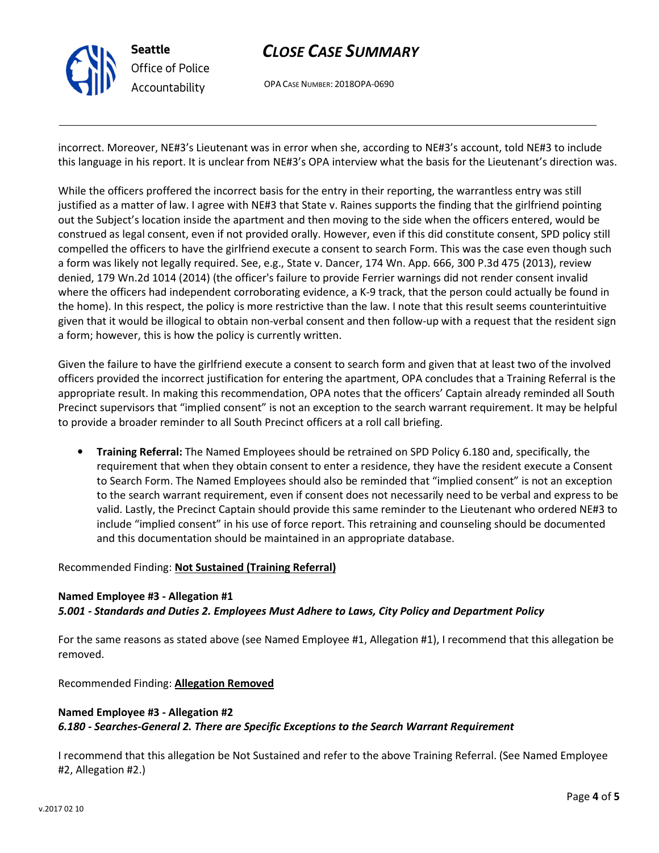

# CLOSE CASE SUMMARY

OPA CASE NUMBER: 2018OPA-0690

incorrect. Moreover, NE#3's Lieutenant was in error when she, according to NE#3's account, told NE#3 to include this language in his report. It is unclear from NE#3's OPA interview what the basis for the Lieutenant's direction was.

While the officers proffered the incorrect basis for the entry in their reporting, the warrantless entry was still justified as a matter of law. I agree with NE#3 that State v. Raines supports the finding that the girlfriend pointing out the Subject's location inside the apartment and then moving to the side when the officers entered, would be construed as legal consent, even if not provided orally. However, even if this did constitute consent, SPD policy still compelled the officers to have the girlfriend execute a consent to search Form. This was the case even though such a form was likely not legally required. See, e.g., State v. Dancer, 174 Wn. App. 666, 300 P.3d 475 (2013), review denied, 179 Wn.2d 1014 (2014) (the officer's failure to provide Ferrier warnings did not render consent invalid where the officers had independent corroborating evidence, a K-9 track, that the person could actually be found in the home). In this respect, the policy is more restrictive than the law. I note that this result seems counterintuitive given that it would be illogical to obtain non-verbal consent and then follow-up with a request that the resident sign a form; however, this is how the policy is currently written.

Given the failure to have the girlfriend execute a consent to search form and given that at least two of the involved officers provided the incorrect justification for entering the apartment, OPA concludes that a Training Referral is the appropriate result. In making this recommendation, OPA notes that the officers' Captain already reminded all South Precinct supervisors that "implied consent" is not an exception to the search warrant requirement. It may be helpful to provide a broader reminder to all South Precinct officers at a roll call briefing.

• Training Referral: The Named Employees should be retrained on SPD Policy 6.180 and, specifically, the requirement that when they obtain consent to enter a residence, they have the resident execute a Consent to Search Form. The Named Employees should also be reminded that "implied consent" is not an exception to the search warrant requirement, even if consent does not necessarily need to be verbal and express to be valid. Lastly, the Precinct Captain should provide this same reminder to the Lieutenant who ordered NE#3 to include "implied consent" in his use of force report. This retraining and counseling should be documented and this documentation should be maintained in an appropriate database.

#### Recommended Finding: Not Sustained (Training Referral)

#### Named Employee #3 - Allegation #1 5.001 - Standards and Duties 2. Employees Must Adhere to Laws, City Policy and Department Policy

For the same reasons as stated above (see Named Employee #1, Allegation #1), I recommend that this allegation be removed.

Recommended Finding: Allegation Removed

#### Named Employee #3 - Allegation #2 6.180 - Searches-General 2. There are Specific Exceptions to the Search Warrant Requirement

I recommend that this allegation be Not Sustained and refer to the above Training Referral. (See Named Employee #2, Allegation #2.)